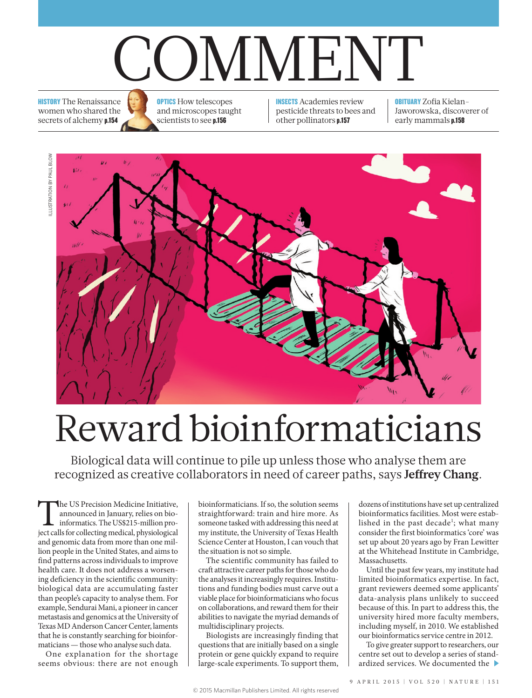## COMMENT

**HISTORY** The Renaissance women who shared the secrets of alchemy p.154

**OPTICS** How telescopes and microscopes taught scientists to see p.156

INSECTS Academies review pesticide threats to bees and other pollinators p.157

OBITUARY Zofia Kielan-Jaworowska, discoverer of early mammals p.158



## Reward bioinformaticians

Biological data will continue to pile up unless those who analyse them are recognized as creative collaborators in need of career paths, says **Jeffrey Chang**.

The US Precision Medicine Initiative,<br>
announced in January, relies on bio-<br>
informatics. The US\$215-million pro-<br>
ject calls for collecting medical, physiological announced in January, relies on bioinformatics. The US\$215-million proand genomic data from more than one million people in the United States, and aims to find patterns across individuals to improve health care. It does not address a worsening deficiency in the scientific community: biological data are accumulating faster than people's capacity to analyse them. For example, Sendurai Mani, a pioneer in cancer metastasis and genomics at the University of Texas MD Anderson Cancer Center, laments that he is constantly searching for bioinformaticians — those who analyse such data.

One explanation for the shortage seems obvious: there are not enough bioinformaticians. If so, the solution seems straightforward: train and hire more. As someone tasked with addressing this need at my institute, the University of Texas Health Science Center at Houston, I can vouch that the situation is not so simple.

The scientific community has failed to craft attractive career paths for those who do the analyses it increasingly requires. Institutions and funding bodies must carve out a viable place for bioinformaticians who focus on collaborations, and reward them for their abilities to navigate the myriad demands of multidisciplinary projects.

Biologists are increasingly finding that questions that are initially based on a single protein or gene quickly expand to require large-scale experiments. To support them, dozens of institutions have set up centralized bioinformatics facilities. Most were established in the past decade<sup>1</sup>; what many consider the first bioinformatics 'core' was set up about 20 years ago by Fran Lewitter at the Whitehead Institute in Cambridge, Massachusetts.

Until the past few years, my institute had limited bioinformatics expertise. In fact, grant reviewers deemed some applicants' data-analysis plans unlikely to succeed because of this. In part to address this, the university hired more faculty members, including myself, in 2010. We established our bioinformatics service centre in 2012.

To give greater support to researchers, our centre set out to develop a series of standardized services. We documented the